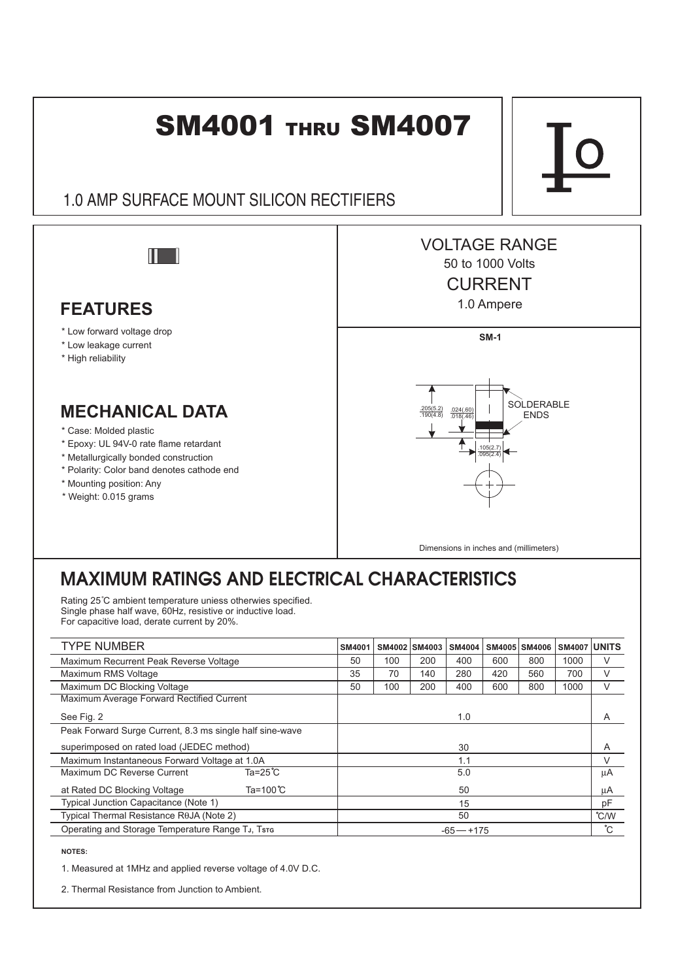

## MAXIMUM RATINGS AND ELECTRICAL CHARACTERISTICS

Rating 25°C ambient temperature uniess otherwies specified. Single phase half wave, 60Hz, resistive or inductive load. For capacitive load, derate current by 20%.

| <b>TYPE NUMBER</b>                                       | <b>SM4001</b> |     | SM4002 SM4003 | <b>SM4004</b> |     | SM4005 SM4006 | <b>SM4007 UNITS</b> |    |
|----------------------------------------------------------|---------------|-----|---------------|---------------|-----|---------------|---------------------|----|
| Maximum Recurrent Peak Reverse Voltage                   | 50            | 100 | 200           | 400           | 600 | 800           | 1000                | V  |
| Maximum RMS Voltage                                      | 35            | 70  | 140           | 280           | 420 | 560           | 700                 | V  |
| Maximum DC Blocking Voltage                              | 50            | 100 | 200           | 400           | 600 | 800           | 1000                | V  |
| Maximum Average Forward Rectified Current                |               |     |               |               |     |               |                     |    |
| See Fig. 2                                               | 1.0           |     |               |               |     |               |                     | A  |
| Peak Forward Surge Current, 8.3 ms single half sine-wave |               |     |               |               |     |               |                     |    |
| superimposed on rated load (JEDEC method)                | 30            |     |               |               |     |               | A                   |    |
| Maximum Instantaneous Forward Voltage at 1.0A            | 1.1           |     |               |               |     | ٧             |                     |    |
| Ta= $25^{\circ}$ C<br>Maximum DC Reverse Current         | 5.0           |     |               |               |     |               |                     | μA |
| Ta=100 $\degree$ C<br>at Rated DC Blocking Voltage       | 50            |     |               |               |     |               |                     | μA |
| Typical Junction Capacitance (Note 1)                    | 15            |     |               |               |     |               |                     | pF |
| Typical Thermal Resistance R0JA (Note 2)                 | 50            |     |               |               |     |               | $\degree$ C/W       |    |
| Operating and Storage Temperature Range TJ, Tsre         | $-65 - +175$  |     |               |               |     |               |                     | °С |

**NOTES:**

1. Measured at 1MHz and applied reverse voltage of 4.0V D.C.

2. Thermal Resistance from Junction to Ambient.